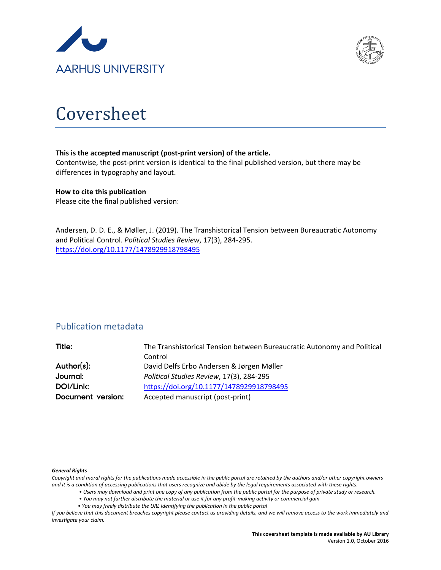



# Coversheet

#### **This is the accepted manuscript (post-print version) of the article.**

Contentwise, the post-print version is identical to the final published version, but there may be differences in typography and layout.

#### **How to cite this publication**

Please cite the final published version:

Andersen, D. D. E., & Møller, J. (2019). The Transhistorical Tension between Bureaucratic Autonomy and Political Control. *Political Studies Review*, 17(3), 284-295. <https://doi.org/10.1177/1478929918798495>

### Publication metadata

| Title:            | The Transhistorical Tension between Bureaucratic Autonomy and Political |
|-------------------|-------------------------------------------------------------------------|
|                   | Control                                                                 |
| Author(s):        | David Delfs Erbo Andersen & Jørgen Møller                               |
| Journal:          | Political Studies Review, 17(3), 284-295                                |
| DOI/Link:         | https://doi.org/10.1177/1478929918798495                                |
| Document version: | Accepted manuscript (post-print)                                        |

#### *General Rights*

*Copyright and moral rights for the publications made accessible in the public portal are retained by the authors and/or other copyright owners and it is a condition of accessing publications that users recognize and abide by the legal requirements associated with these rights.*

- *Users may download and print one copy of any publication from the public portal for the purpose of private study or research.*
- *You may not further distribute the material or use it for any profit-making activity or commercial gain*
- *You may freely distribute the URL identifying the publication in the public portal*

*If you believe that this document breaches copyright please contact us providing details, and we will remove access to the work immediately and investigate your claim.*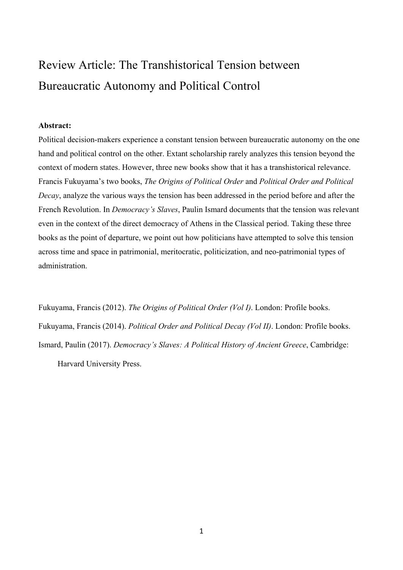## Review Article: The Transhistorical Tension between Bureaucratic Autonomy and Political Control

#### **Abstract:**

Political decision-makers experience a constant tension between bureaucratic autonomy on the one hand and political control on the other. Extant scholarship rarely analyzes this tension beyond the context of modern states. However, three new books show that it has a transhistorical relevance. Francis Fukuyama's two books, *The Origins of Political Order* and *Political Order and Political Decay*, analyze the various ways the tension has been addressed in the period before and after the French Revolution. In *Democracy's Slaves*, Paulin Ismard documents that the tension was relevant even in the context of the direct democracy of Athens in the Classical period. Taking these three books as the point of departure, we point out how politicians have attempted to solve this tension across time and space in patrimonial, meritocratic, politicization, and neo-patrimonial types of administration.

Fukuyama, Francis (2012). *The Origins of Political Order (Vol I)*. London: Profile books. Fukuyama, Francis (2014). *Political Order and Political Decay (Vol II)*. London: Profile books. Ismard, Paulin (2017). *Democracy's Slaves: A Political History of Ancient Greece*, Cambridge:

Harvard University Press.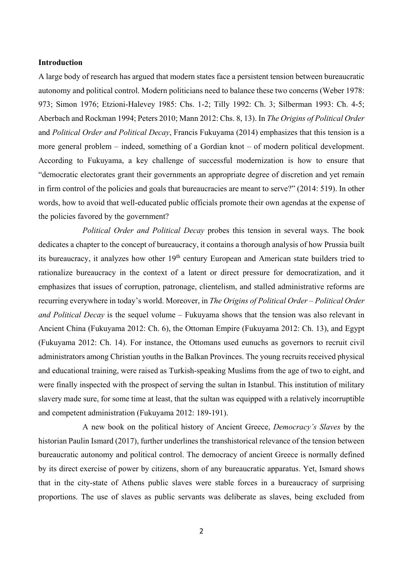#### **Introduction**

A large body of research has argued that modern states face a persistent tension between bureaucratic autonomy and political control. Modern politicians need to balance these two concerns (Weber 1978: 973; Simon 1976; Etzioni-Halevey 1985: Chs. 1-2; Tilly 1992: Ch. 3; Silberman 1993: Ch. 4-5; Aberbach and Rockman 1994; Peters 2010; Mann 2012: Chs. 8, 13). In *The Origins of Political Order*  and *Political Order and Political Decay*, Francis Fukuyama (2014) emphasizes that this tension is a more general problem – indeed, something of a Gordian knot – of modern political development. According to Fukuyama, a key challenge of successful modernization is how to ensure that "democratic electorates grant their governments an appropriate degree of discretion and yet remain in firm control of the policies and goals that bureaucracies are meant to serve?" (2014: 519). In other words, how to avoid that well-educated public officials promote their own agendas at the expense of the policies favored by the government?

*Political Order and Political Decay* probes this tension in several ways. The book dedicates a chapter to the concept of bureaucracy, it contains a thorough analysis of how Prussia built its bureaucracy, it analyzes how other 19<sup>th</sup> century European and American state builders tried to rationalize bureaucracy in the context of a latent or direct pressure for democratization, and it emphasizes that issues of corruption, patronage, clientelism, and stalled administrative reforms are recurring everywhere in today's world. Moreover, in *The Origins of Political Order* – *Political Order and Political Decay* is the sequel volume – Fukuyama shows that the tension was also relevant in Ancient China (Fukuyama 2012: Ch. 6), the Ottoman Empire (Fukuyama 2012: Ch. 13), and Egypt (Fukuyama 2012: Ch. 14). For instance, the Ottomans used eunuchs as governors to recruit civil administrators among Christian youths in the Balkan Provinces. The young recruits received physical and educational training, were raised as Turkish-speaking Muslims from the age of two to eight, and were finally inspected with the prospect of serving the sultan in Istanbul. This institution of military slavery made sure, for some time at least, that the sultan was equipped with a relatively incorruptible and competent administration (Fukuyama 2012: 189-191).

A new book on the political history of Ancient Greece, *Democracy's Slaves* by the historian Paulin Ismard (2017), further underlines the transhistorical relevance of the tension between bureaucratic autonomy and political control. The democracy of ancient Greece is normally defined by its direct exercise of power by citizens, shorn of any bureaucratic apparatus. Yet, Ismard shows that in the city-state of Athens public slaves were stable forces in a bureaucracy of surprising proportions. The use of slaves as public servants was deliberate as slaves, being excluded from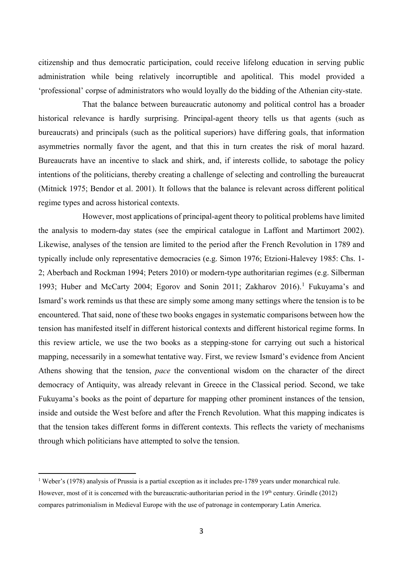citizenship and thus democratic participation, could receive lifelong education in serving public administration while being relatively incorruptible and apolitical. This model provided a 'professional' corpse of administrators who would loyally do the bidding of the Athenian city-state.

That the balance between bureaucratic autonomy and political control has a broader historical relevance is hardly surprising. Principal-agent theory tells us that agents (such as bureaucrats) and principals (such as the political superiors) have differing goals, that information asymmetries normally favor the agent, and that this in turn creates the risk of moral hazard. Bureaucrats have an incentive to slack and shirk, and, if interests collide, to sabotage the policy intentions of the politicians, thereby creating a challenge of selecting and controlling the bureaucrat (Mitnick 1975; Bendor et al. 2001). It follows that the balance is relevant across different political regime types and across historical contexts.

However, most applications of principal-agent theory to political problems have limited the analysis to modern-day states (see the empirical catalogue in Laffont and Martimort 2002). Likewise, analyses of the tension are limited to the period after the French Revolution in 1789 and typically include only representative democracies (e.g. Simon 1976; Etzioni-Halevey 1985: Chs. 1- 2; Aberbach and Rockman 1994; Peters 2010) or modern-type authoritarian regimes (e.g. Silberman 1993; Huber and McCarty 2004; Egorov and Sonin 2011; Zakharov 2016).[1](#page-3-0) Fukuyama's and Ismard's work reminds us that these are simply some among many settings where the tension is to be encountered. That said, none of these two books engages in systematic comparisons between how the tension has manifested itself in different historical contexts and different historical regime forms. In this review article, we use the two books as a stepping-stone for carrying out such a historical mapping, necessarily in a somewhat tentative way. First, we review Ismard's evidence from Ancient Athens showing that the tension, *pace* the conventional wisdom on the character of the direct democracy of Antiquity, was already relevant in Greece in the Classical period. Second, we take Fukuyama's books as the point of departure for mapping other prominent instances of the tension, inside and outside the West before and after the French Revolution. What this mapping indicates is that the tension takes different forms in different contexts. This reflects the variety of mechanisms through which politicians have attempted to solve the tension.

 $\overline{a}$ 

<span id="page-3-0"></span><sup>&</sup>lt;sup>1</sup> Weber's (1978) analysis of Prussia is a partial exception as it includes pre-1789 years under monarchical rule. However, most of it is concerned with the bureaucratic-authoritarian period in the 19<sup>th</sup> century. Grindle (2012) compares patrimonialism in Medieval Europe with the use of patronage in contemporary Latin America.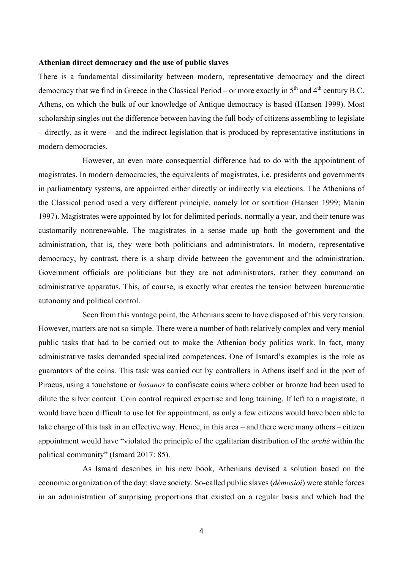#### **Athenian direct democracy and the use of public slaves**

There is a fundamental dissimilarity between modern, representative democracy and the direct democracy that we find in Greece in the Classical Period – or more exactly in  $5<sup>th</sup>$  and  $4<sup>th</sup>$  century B.C. Athens, on which the bulk of our knowledge of Antique democracy is based (Hansen 1999). Most scholarship singles out the difference between having the full body of citizens assembling to legislate – directly, as it were – and the indirect legislation that is produced by representative institutions in modern democracies.

However, an even more consequential difference had to do with the appointment of magistrates. In modern democracies, the equivalents of magistrates, i.e. presidents and governments in parliamentary systems, are appointed either directly or indirectly via elections. The Athenians of the Classical period used a very different principle, namely lot or sortition (Hansen 1999; Manin 1997). Magistrates were appointed by lot for delimited periods, normally a year, and their tenure was customarily nonrenewable. The magistrates in a sense made up both the government and the administration, that is, they were both politicians and administrators. In modern, representative democracy, by contrast, there is a sharp divide between the government and the administration. Government officials are politicians but they are not administrators, rather they command an administrative apparatus. This, of course, is exactly what creates the tension between bureaucratic autonomy and political control.

Seen from this vantage point, the Athenians seem to have disposed of this very tension. However, matters are not so simple. There were a number of both relatively complex and very menial public tasks that had to be carried out to make the Athenian body politics work. In fact, many administrative tasks demanded specialized competences. One of Ismard's examples is the role as guarantors of the coins. This task was carried out by controllers in Athens itself and in the port of Piraeus, using a touchstone or *basanos* to confiscate coins where cobber or bronze had been used to dilute the silver content. Coin control required expertise and long training. If left to a magistrate, it would have been difficult to use lot for appointment, as only a few citizens would have been able to take charge of this task in an effective way. Hence, in this area – and there were many others – citizen appointment would have "violated the principle of the egalitarian distribution of the *archè* within the political community" (Ismard 2017: 85).

As Ismard describes in his new book, Athenians devised a solution based on the economic organization of the day: slave society. So-called public slaves (*dèmosioi*) were stable forces in an administration of surprising proportions that existed on a regular basis and which had the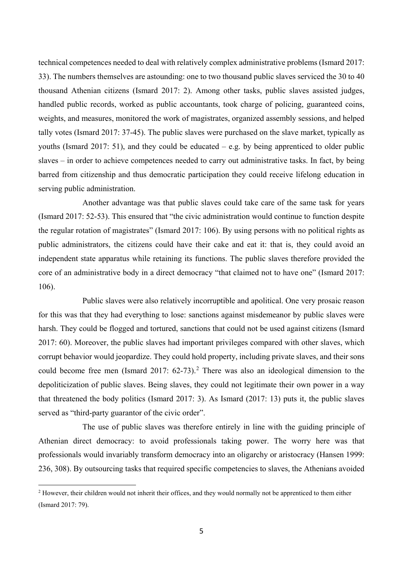technical competences needed to deal with relatively complex administrative problems (Ismard 2017: 33). The numbers themselves are astounding: one to two thousand public slaves serviced the 30 to 40 thousand Athenian citizens (Ismard 2017: 2). Among other tasks, public slaves assisted judges, handled public records, worked as public accountants, took charge of policing, guaranteed coins, weights, and measures, monitored the work of magistrates, organized assembly sessions, and helped tally votes (Ismard 2017: 37-45). The public slaves were purchased on the slave market, typically as youths (Ismard 2017: 51), and they could be educated – e.g. by being apprenticed to older public slaves – in order to achieve competences needed to carry out administrative tasks. In fact, by being barred from citizenship and thus democratic participation they could receive lifelong education in serving public administration.

Another advantage was that public slaves could take care of the same task for years (Ismard 2017: 52-53). This ensured that "the civic administration would continue to function despite the regular rotation of magistrates" (Ismard 2017: 106). By using persons with no political rights as public administrators, the citizens could have their cake and eat it: that is, they could avoid an independent state apparatus while retaining its functions. The public slaves therefore provided the core of an administrative body in a direct democracy "that claimed not to have one" (Ismard 2017: 106).

Public slaves were also relatively incorruptible and apolitical. One very prosaic reason for this was that they had everything to lose: sanctions against misdemeanor by public slaves were harsh. They could be flogged and tortured, sanctions that could not be used against citizens (Ismard 2017: 60). Moreover, the public slaves had important privileges compared with other slaves, which corrupt behavior would jeopardize. They could hold property, including private slaves, and their sons could become free men (Ismard [2](#page-5-0)017:  $62-73$ ).<sup>2</sup> There was also an ideological dimension to the depoliticization of public slaves. Being slaves, they could not legitimate their own power in a way that threatened the body politics (Ismard 2017: 3). As Ismard (2017: 13) puts it, the public slaves served as "third-party guarantor of the civic order".

The use of public slaves was therefore entirely in line with the guiding principle of Athenian direct democracy: to avoid professionals taking power. The worry here was that professionals would invariably transform democracy into an oligarchy or aristocracy (Hansen 1999: 236, 308). By outsourcing tasks that required specific competencies to slaves, the Athenians avoided

 $\overline{a}$ 

<span id="page-5-0"></span><sup>&</sup>lt;sup>2</sup> However, their children would not inherit their offices, and they would normally not be apprenticed to them either (Ismard 2017: 79).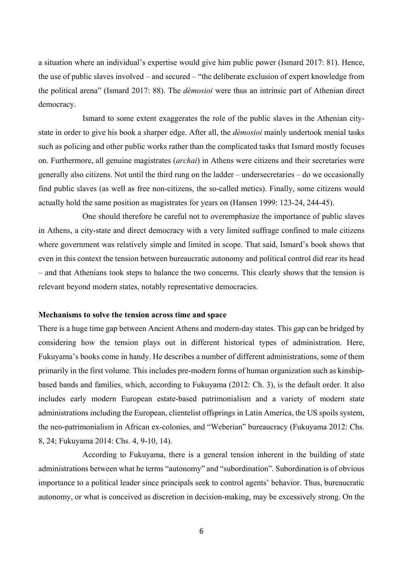a situation where an individual's expertise would give him public power (Ismard 2017: 81). Hence, the use of public slaves involved – and secured – "the deliberate exclusion of expert knowledge from the political arena" (Ismard 2017: 88). The *dèmosioi* were thus an intrinsic part of Athenian direct democracy.

Ismard to some extent exaggerates the role of the public slaves in the Athenian citystate in order to give his book a sharper edge. After all, the *dèmosioi* mainly undertook menial tasks such as policing and other public works rather than the complicated tasks that Ismard mostly focuses on. Furthermore, all genuine magistrates (*archai*) in Athens were citizens and their secretaries were generally also citizens. Not until the third rung on the ladder – undersecretaries – do we occasionally find public slaves (as well as free non-citizens, the so-called metics). Finally, some citizens would actually hold the same position as magistrates for years on (Hansen 1999: 123-24, 244-45).

One should therefore be careful not to overemphasize the importance of public slaves in Athens, a city-state and direct democracy with a very limited suffrage confined to male citizens where government was relatively simple and limited in scope. That said, Ismard's book shows that even in this context the tension between bureaucratic autonomy and political control did rear its head – and that Athenians took steps to balance the two concerns. This clearly shows that the tension is relevant beyond modern states, notably representative democracies.

#### **Mechanisms to solve the tension across time and space**

There is a huge time gap between Ancient Athens and modern-day states. This gap can be bridged by considering how the tension plays out in different historical types of administration. Here, Fukuyama's books come in handy. He describes a number of different administrations, some of them primarily in the first volume. This includes pre-modern forms of human organization such as kinshipbased bands and families, which, according to Fukuyama (2012: Ch. 3), is the default order. It also includes early modern European estate-based patrimonialism and a variety of modern state administrations including the European, clientelist offsprings in Latin America, the US spoils system, the neo-patrimonialism in African ex-colonies, and "Weberian" bureaucracy (Fukuyama 2012: Chs. 8, 24; Fukuyama 2014: Chs. 4, 9-10, 14).

According to Fukuyama, there is a general tension inherent in the building of state administrations between what he terms "autonomy" and "subordination". Subordination is of obvious importance to a political leader since principals seek to control agents' behavior. Thus, bureaucratic autonomy, or what is conceived as discretion in decision-making, may be excessively strong. On the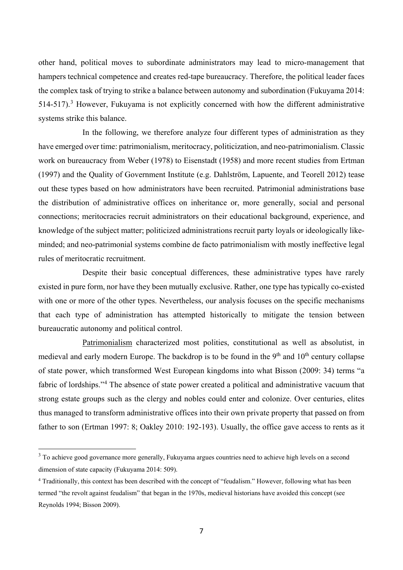other hand, political moves to subordinate administrators may lead to micro-management that hampers technical competence and creates red-tape bureaucracy. Therefore, the political leader faces the complex task of trying to strike a balance between autonomy and subordination (Fukuyama 2014: 514-517).<sup>[3](#page-7-0)</sup> However, Fukuyama is not explicitly concerned with how the different administrative systems strike this balance.

In the following, we therefore analyze four different types of administration as they have emerged over time: patrimonialism, meritocracy, politicization, and neo-patrimonialism. Classic work on bureaucracy from Weber (1978) to Eisenstadt (1958) and more recent studies from Ertman (1997) and the Quality of Government Institute (e.g. Dahlström, Lapuente, and Teorell 2012) tease out these types based on how administrators have been recruited. Patrimonial administrations base the distribution of administrative offices on inheritance or, more generally, social and personal connections; meritocracies recruit administrators on their educational background, experience, and knowledge of the subject matter; politicized administrations recruit party loyals or ideologically likeminded; and neo-patrimonial systems combine de facto patrimonialism with mostly ineffective legal rules of meritocratic recruitment.

Despite their basic conceptual differences, these administrative types have rarely existed in pure form, nor have they been mutually exclusive. Rather, one type has typically co-existed with one or more of the other types. Nevertheless, our analysis focuses on the specific mechanisms that each type of administration has attempted historically to mitigate the tension between bureaucratic autonomy and political control.

Patrimonialism characterized most polities, constitutional as well as absolutist, in medieval and early modern Europe. The backdrop is to be found in the  $9<sup>th</sup>$  and  $10<sup>th</sup>$  century collapse of state power, which transformed West European kingdoms into what Bisson (2009: 34) terms "a fabric of lordships."<sup>[4](#page-7-1)</sup> The absence of state power created a political and administrative vacuum that strong estate groups such as the clergy and nobles could enter and colonize. Over centuries, elites thus managed to transform administrative offices into their own private property that passed on from father to son (Ertman 1997: 8; Oakley 2010: 192-193). Usually, the office gave access to rents as it

 $\overline{a}$ 

<span id="page-7-0"></span><sup>&</sup>lt;sup>3</sup> To achieve good governance more generally, Fukuyama argues countries need to achieve high levels on a second dimension of state capacity (Fukuyama 2014: 509).

<span id="page-7-1"></span><sup>&</sup>lt;sup>4</sup> Traditionally, this context has been described with the concept of "feudalism." However, following what has been termed "the revolt against feudalism" that began in the 1970s, medieval historians have avoided this concept (see Reynolds 1994; Bisson 2009).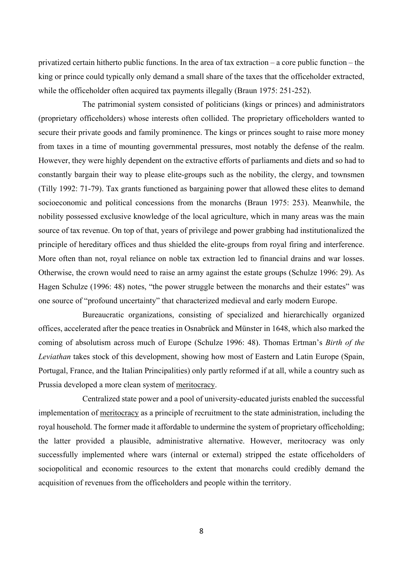privatized certain hitherto public functions. In the area of tax extraction – a core public function – the king or prince could typically only demand a small share of the taxes that the officeholder extracted, while the officeholder often acquired tax payments illegally (Braun 1975: 251-252).

The patrimonial system consisted of politicians (kings or princes) and administrators (proprietary officeholders) whose interests often collided. The proprietary officeholders wanted to secure their private goods and family prominence. The kings or princes sought to raise more money from taxes in a time of mounting governmental pressures, most notably the defense of the realm. However, they were highly dependent on the extractive efforts of parliaments and diets and so had to constantly bargain their way to please elite-groups such as the nobility, the clergy, and townsmen (Tilly 1992: 71-79). Tax grants functioned as bargaining power that allowed these elites to demand socioeconomic and political concessions from the monarchs (Braun 1975: 253). Meanwhile, the nobility possessed exclusive knowledge of the local agriculture, which in many areas was the main source of tax revenue. On top of that, years of privilege and power grabbing had institutionalized the principle of hereditary offices and thus shielded the elite-groups from royal firing and interference. More often than not, royal reliance on noble tax extraction led to financial drains and war losses. Otherwise, the crown would need to raise an army against the estate groups (Schulze 1996: 29). As Hagen Schulze (1996: 48) notes, "the power struggle between the monarchs and their estates" was one source of "profound uncertainty" that characterized medieval and early modern Europe.

Bureaucratic organizations, consisting of specialized and hierarchically organized offices, accelerated after the peace treaties in Osnabrück and Münster in 1648, which also marked the coming of absolutism across much of Europe (Schulze 1996: 48). Thomas Ertman's *Birth of the Leviathan* takes stock of this development, showing how most of Eastern and Latin Europe (Spain, Portugal, France, and the Italian Principalities) only partly reformed if at all, while a country such as Prussia developed a more clean system of meritocracy.

Centralized state power and a pool of university-educated jurists enabled the successful implementation of meritocracy as a principle of recruitment to the state administration, including the royal household. The former made it affordable to undermine the system of proprietary officeholding; the latter provided a plausible, administrative alternative. However, meritocracy was only successfully implemented where wars (internal or external) stripped the estate officeholders of sociopolitical and economic resources to the extent that monarchs could credibly demand the acquisition of revenues from the officeholders and people within the territory.

8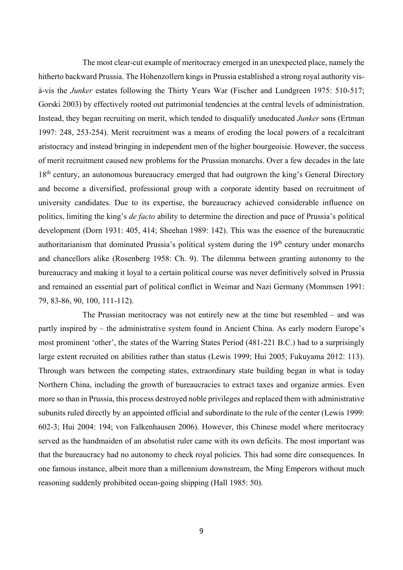The most clear-cut example of meritocracy emerged in an unexpected place, namely the hitherto backward Prussia. The Hohenzollern kings in Prussia established a strong royal authority visà-vis the *Junker* estates following the Thirty Years War (Fischer and Lundgreen 1975: 510-517; Gorski 2003) by effectively rooted out patrimonial tendencies at the central levels of administration. Instead, they began recruiting on merit, which tended to disqualify uneducated *Junker* sons (Ertman 1997: 248, 253-254). Merit recruitment was a means of eroding the local powers of a recalcitrant aristocracy and instead bringing in independent men of the higher bourgeoisie. However, the success of merit recruitment caused new problems for the Prussian monarchs. Over a few decades in the late 18<sup>th</sup> century, an autonomous bureaucracy emerged that had outgrown the king's General Directory and become a diversified, professional group with a corporate identity based on recruitment of university candidates. Due to its expertise, the bureaucracy achieved considerable influence on politics, limiting the king's *de facto* ability to determine the direction and pace of Prussia's political development (Dorn 1931: 405, 414; Sheehan 1989: 142). This was the essence of the bureaucratic authoritarianism that dominated Prussia's political system during the 19<sup>th</sup> century under monarchs and chancellors alike (Rosenberg 1958: Ch. 9). The dilemma between granting autonomy to the bureaucracy and making it loyal to a certain political course was never definitively solved in Prussia and remained an essential part of political conflict in Weimar and Nazi Germany (Mommsen 1991: 79, 83-86, 90, 100, 111-112).

The Prussian meritocracy was not entirely new at the time but resembled – and was partly inspired by – the administrative system found in Ancient China. As early modern Europe's most prominent 'other', the states of the Warring States Period (481-221 B.C.) had to a surprisingly large extent recruited on abilities rather than status (Lewis 1999; Hui 2005; Fukuyama 2012: 113). Through wars between the competing states, extraordinary state building began in what is today Northern China, including the growth of bureaucracies to extract taxes and organize armies. Even more so than in Prussia, this process destroyed noble privileges and replaced them with administrative subunits ruled directly by an appointed official and subordinate to the rule of the center (Lewis 1999: 602-3; Hui 2004: 194; von Falkenhausen 2006). However, this Chinese model where meritocracy served as the handmaiden of an absolutist ruler came with its own deficits. The most important was that the bureaucracy had no autonomy to check royal policies. This had some dire consequences. In one famous instance, albeit more than a millennium downstream, the Ming Emperors without much reasoning suddenly prohibited ocean-going shipping (Hall 1985: 50).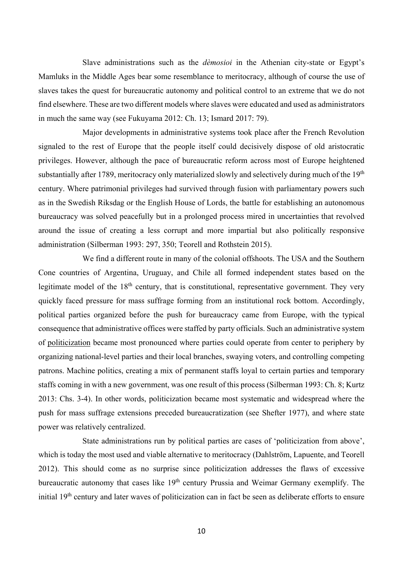Slave administrations such as the *dèmosioi* in the Athenian city-state or Egypt's Mamluks in the Middle Ages bear some resemblance to meritocracy, although of course the use of slaves takes the quest for bureaucratic autonomy and political control to an extreme that we do not find elsewhere. These are two different models where slaves were educated and used as administrators in much the same way (see Fukuyama 2012: Ch. 13; Ismard 2017: 79).

Major developments in administrative systems took place after the French Revolution signaled to the rest of Europe that the people itself could decisively dispose of old aristocratic privileges. However, although the pace of bureaucratic reform across most of Europe heightened substantially after 1789, meritocracy only materialized slowly and selectively during much of the 19<sup>th</sup> century. Where patrimonial privileges had survived through fusion with parliamentary powers such as in the Swedish Riksdag or the English House of Lords, the battle for establishing an autonomous bureaucracy was solved peacefully but in a prolonged process mired in uncertainties that revolved around the issue of creating a less corrupt and more impartial but also politically responsive administration (Silberman 1993: 297, 350; Teorell and Rothstein 2015).

We find a different route in many of the colonial offshoots. The USA and the Southern Cone countries of Argentina, Uruguay, and Chile all formed independent states based on the legitimate model of the  $18<sup>th</sup>$  century, that is constitutional, representative government. They very quickly faced pressure for mass suffrage forming from an institutional rock bottom. Accordingly, political parties organized before the push for bureaucracy came from Europe, with the typical consequence that administrative offices were staffed by party officials. Such an administrative system of politicization became most pronounced where parties could operate from center to periphery by organizing national-level parties and their local branches, swaying voters, and controlling competing patrons. Machine politics, creating a mix of permanent staffs loyal to certain parties and temporary staffs coming in with a new government, was one result of this process (Silberman 1993: Ch. 8; Kurtz 2013: Chs. 3-4). In other words, politicization became most systematic and widespread where the push for mass suffrage extensions preceded bureaucratization (see Shefter 1977), and where state power was relatively centralized.

State administrations run by political parties are cases of 'politicization from above', which is today the most used and viable alternative to meritocracy (Dahlström, Lapuente, and Teorell 2012). This should come as no surprise since politicization addresses the flaws of excessive bureaucratic autonomy that cases like 19<sup>th</sup> century Prussia and Weimar Germany exemplify. The initial 19<sup>th</sup> century and later waves of politicization can in fact be seen as deliberate efforts to ensure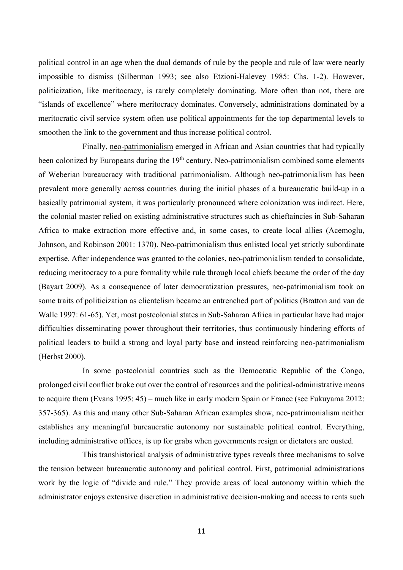political control in an age when the dual demands of rule by the people and rule of law were nearly impossible to dismiss (Silberman 1993; see also Etzioni-Halevey 1985: Chs. 1-2). However, politicization, like meritocracy, is rarely completely dominating. More often than not, there are "islands of excellence" where meritocracy dominates. Conversely, administrations dominated by a meritocratic civil service system often use political appointments for the top departmental levels to smoothen the link to the government and thus increase political control.

Finally, neo-patrimonialism emerged in African and Asian countries that had typically been colonized by Europeans during the 19<sup>th</sup> century. Neo-patrimonialism combined some elements of Weberian bureaucracy with traditional patrimonialism. Although neo-patrimonialism has been prevalent more generally across countries during the initial phases of a bureaucratic build-up in a basically patrimonial system, it was particularly pronounced where colonization was indirect. Here, the colonial master relied on existing administrative structures such as chieftaincies in Sub-Saharan Africa to make extraction more effective and, in some cases, to create local allies (Acemoglu, Johnson, and Robinson 2001: 1370). Neo-patrimonialism thus enlisted local yet strictly subordinate expertise. After independence was granted to the colonies, neo-patrimonialism tended to consolidate, reducing meritocracy to a pure formality while rule through local chiefs became the order of the day (Bayart 2009). As a consequence of later democratization pressures, neo-patrimonialism took on some traits of politicization as clientelism became an entrenched part of politics (Bratton and van de Walle 1997: 61-65). Yet, most postcolonial states in Sub-Saharan Africa in particular have had major difficulties disseminating power throughout their territories, thus continuously hindering efforts of political leaders to build a strong and loyal party base and instead reinforcing neo-patrimonialism (Herbst 2000).

In some postcolonial countries such as the Democratic Republic of the Congo, prolonged civil conflict broke out over the control of resources and the political-administrative means to acquire them (Evans 1995: 45) – much like in early modern Spain or France (see Fukuyama 2012: 357-365). As this and many other Sub-Saharan African examples show, neo-patrimonialism neither establishes any meaningful bureaucratic autonomy nor sustainable political control. Everything, including administrative offices, is up for grabs when governments resign or dictators are ousted.

This transhistorical analysis of administrative types reveals three mechanisms to solve the tension between bureaucratic autonomy and political control. First, patrimonial administrations work by the logic of "divide and rule." They provide areas of local autonomy within which the administrator enjoys extensive discretion in administrative decision-making and access to rents such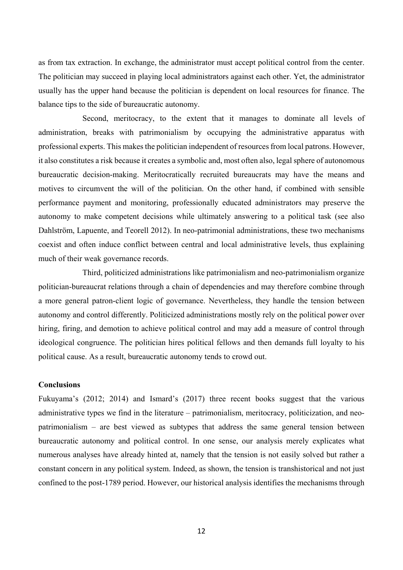as from tax extraction. In exchange, the administrator must accept political control from the center. The politician may succeed in playing local administrators against each other. Yet, the administrator usually has the upper hand because the politician is dependent on local resources for finance. The balance tips to the side of bureaucratic autonomy.

Second, meritocracy, to the extent that it manages to dominate all levels of administration, breaks with patrimonialism by occupying the administrative apparatus with professional experts. This makes the politician independent of resources from local patrons. However, it also constitutes a risk because it creates a symbolic and, most often also, legal sphere of autonomous bureaucratic decision-making. Meritocratically recruited bureaucrats may have the means and motives to circumvent the will of the politician. On the other hand, if combined with sensible performance payment and monitoring, professionally educated administrators may preserve the autonomy to make competent decisions while ultimately answering to a political task (see also Dahlström, Lapuente, and Teorell 2012). In neo-patrimonial administrations, these two mechanisms coexist and often induce conflict between central and local administrative levels, thus explaining much of their weak governance records.

Third, politicized administrations like patrimonialism and neo-patrimonialism organize politician-bureaucrat relations through a chain of dependencies and may therefore combine through a more general patron-client logic of governance. Nevertheless, they handle the tension between autonomy and control differently. Politicized administrations mostly rely on the political power over hiring, firing, and demotion to achieve political control and may add a measure of control through ideological congruence. The politician hires political fellows and then demands full loyalty to his political cause. As a result, bureaucratic autonomy tends to crowd out.

#### **Conclusions**

Fukuyama's (2012; 2014) and Ismard's (2017) three recent books suggest that the various administrative types we find in the literature – patrimonialism, meritocracy, politicization, and neopatrimonialism – are best viewed as subtypes that address the same general tension between bureaucratic autonomy and political control. In one sense, our analysis merely explicates what numerous analyses have already hinted at, namely that the tension is not easily solved but rather a constant concern in any political system. Indeed, as shown, the tension is transhistorical and not just confined to the post-1789 period. However, our historical analysis identifies the mechanisms through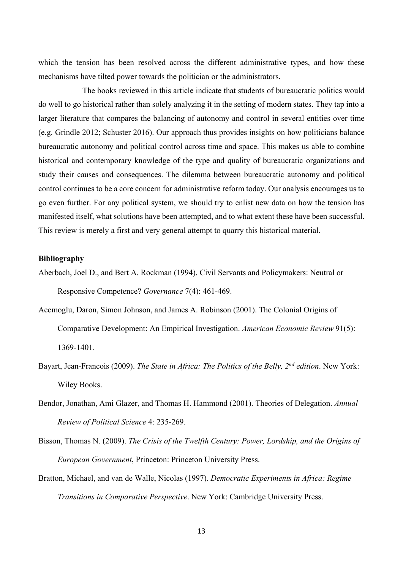which the tension has been resolved across the different administrative types, and how these mechanisms have tilted power towards the politician or the administrators.

The books reviewed in this article indicate that students of bureaucratic politics would do well to go historical rather than solely analyzing it in the setting of modern states. They tap into a larger literature that compares the balancing of autonomy and control in several entities over time (e.g. Grindle 2012; Schuster 2016). Our approach thus provides insights on how politicians balance bureaucratic autonomy and political control across time and space. This makes us able to combine historical and contemporary knowledge of the type and quality of bureaucratic organizations and study their causes and consequences. The dilemma between bureaucratic autonomy and political control continues to be a core concern for administrative reform today. Our analysis encourages us to go even further. For any political system, we should try to enlist new data on how the tension has manifested itself, what solutions have been attempted, and to what extent these have been successful. This review is merely a first and very general attempt to quarry this historical material.

#### **Bibliography**

- Aberbach, Joel D., and Bert A. Rockman (1994). Civil Servants and Policymakers: Neutral or Responsive Competence? *Governance* 7(4): 461-469.
- Acemoglu, Daron, Simon Johnson, and James A. Robinson (2001). The Colonial Origins of Comparative Development: An Empirical Investigation. *American Economic Review* 91(5): 1369-1401.
- Bayart, Jean-Francois (2009). *The State in Africa: The Politics of the Belly, 2nd edition*. New York: Wiley Books.
- Bendor, Jonathan, Ami Glazer, and Thomas H. Hammond (2001). Theories of Delegation. *Annual Review of Political Science* 4: 235-269.
- Bisson, Thomas N. (2009). *The Crisis of the Twelfth Century: Power, Lordship, and the Origins of European Government*, Princeton: Princeton University Press.
- Bratton, Michael, and van de Walle, Nicolas (1997). *Democratic Experiments in Africa: Regime Transitions in Comparative Perspective*. New York: Cambridge University Press.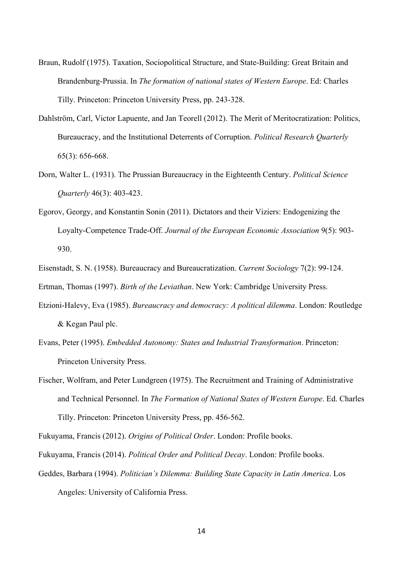- Braun, Rudolf (1975). Taxation, Sociopolitical Structure, and State-Building: Great Britain and Brandenburg-Prussia. In *The formation of national states of Western Europe*. Ed: Charles Tilly. Princeton: Princeton University Press, pp. 243-328.
- Dahlström, Carl, Victor Lapuente, and Jan Teorell (2012). The Merit of Meritocratization: Politics, Bureaucracy, and the Institutional Deterrents of Corruption. *Political Research Quarterly* 65(3): 656-668.
- Dorn, Walter L. (1931). The Prussian Bureaucracy in the Eighteenth Century. *Political Science Quarterly* 46(3): 403-423.
- Egorov, Georgy, and Konstantin Sonin (2011). Dictators and their Viziers: Endogenizing the Loyalty-Competence Trade-Off. *Journal of the European Economic Association* 9(5): 903- 930.
- Eisenstadt, S. N. (1958). Bureaucracy and Bureaucratization. *Current Sociology* 7(2): 99-124.

Ertman, Thomas (1997). *Birth of the Leviathan*. New York: Cambridge University Press.

- Etzioni-Halevy, Eva (1985). *Bureaucracy and democracy: A political dilemma*. London: Routledge & Kegan Paul plc.
- Evans, Peter (1995). *Embedded Autonomy: States and Industrial Transformation*. Princeton: Princeton University Press.
- Fischer, Wolfram, and Peter Lundgreen (1975). The Recruitment and Training of Administrative and Technical Personnel. In *The Formation of National States of Western Europe*. Ed. Charles Tilly. Princeton: Princeton University Press, pp. 456-562.

Fukuyama, Francis (2012). *Origins of Political Order*. London: Profile books.

- Fukuyama, Francis (2014). *Political Order and Political Decay*. London: Profile books.
- Geddes, Barbara (1994). *Politician's Dilemma: Building State Capacity in Latin America*. Los

Angeles: University of California Press.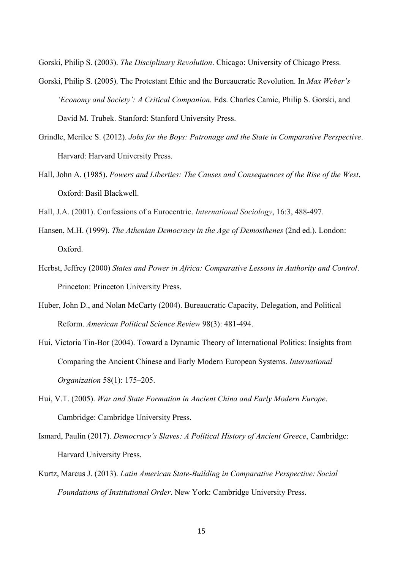Gorski, Philip S. (2003). *The Disciplinary Revolution*. Chicago: University of Chicago Press.

- Gorski, Philip S. (2005). The Protestant Ethic and the Bureaucratic Revolution. In *Max Weber's 'Economy and Society': A Critical Companion*. Eds. Charles Camic, Philip S. Gorski, and David M. Trubek. Stanford: Stanford University Press.
- Grindle, Merilee S. (2012). *Jobs for the Boys: Patronage and the State in Comparative Perspective*. Harvard: Harvard University Press.
- Hall, John A. (1985). *Powers and Liberties: The Causes and Consequences of the Rise of the West*. Oxford: Basil Blackwell.
- Hall, J.A. (2001). Confessions of a Eurocentric. *International Sociology*, 16:3, 488-497.
- Hansen, M.H. (1999). *The Athenian Democracy in the Age of Demosthenes* (2nd ed.). London: Oxford.
- Herbst, Jeffrey (2000) *States and Power in Africa: Comparative Lessons in Authority and Control*. Princeton: Princeton University Press.
- Huber, John D., and Nolan McCarty (2004). Bureaucratic Capacity, Delegation, and Political Reform. *American Political Science Review* 98(3): 481-494.
- Hui, Victoria Tin-Bor (2004). Toward a Dynamic Theory of International Politics: Insights from Comparing the Ancient Chinese and Early Modern European Systems. *International Organization* 58(1): 175–205.
- Hui, V.T. (2005). *War and State Formation in Ancient China and Early Modern Europe*. Cambridge: Cambridge University Press.
- Ismard, Paulin (2017). *Democracy's Slaves: A Political History of Ancient Greece*, Cambridge: Harvard University Press.
- Kurtz, Marcus J. (2013). *Latin American State-Building in Comparative Perspective: Social Foundations of Institutional Order*. New York: Cambridge University Press.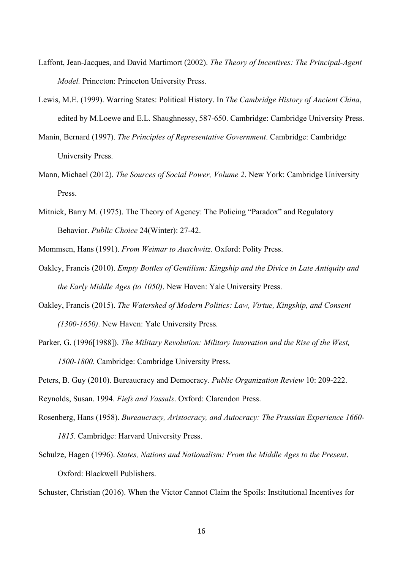- Laffont, Jean-Jacques, and David Martimort (2002). *The Theory of Incentives: The Principal-Agent Model.* Princeton: Princeton University Press.
- Lewis, M.E. (1999). Warring States: Political History. In *The Cambridge History of Ancient China*, edited by M.Loewe and E.L. Shaughnessy, 587-650. Cambridge: Cambridge University Press.
- Manin, Bernard (1997). *The Principles of Representative Government*. Cambridge: Cambridge University Press.
- Mann, Michael (2012). *The Sources of Social Power, Volume 2*. New York: Cambridge University Press.
- Mitnick, Barry M. (1975). The Theory of Agency: The Policing "Paradox" and Regulatory Behavior. *Public Choice* 24(Winter): 27-42.

Mommsen, Hans (1991). *From Weimar to Auschwitz.* Oxford: Polity Press.

- Oakley, Francis (2010). *Empty Bottles of Gentilism: Kingship and the Divice in Late Antiquity and the Early Middle Ages (to 1050)*. New Haven: Yale University Press.
- Oakley, Francis (2015). *The Watershed of Modern Politics: Law, Virtue, Kingship, and Consent (1300-1650)*. New Haven: Yale University Press.
- Parker, G. (1996[1988]). *The Military Revolution: Military Innovation and the Rise of the West, 1500-1800*. Cambridge: Cambridge University Press.

Peters, B. Guy (2010). Bureaucracy and Democracy. *Public Organization Review* 10: 209-222.

Reynolds, Susan. 1994. *Fiefs and Vassals*. Oxford: Clarendon Press.

Rosenberg, Hans (1958). *Bureaucracy, Aristocracy, and Autocracy: The Prussian Experience 1660- 1815*. Cambridge: Harvard University Press.

Schulze, Hagen (1996). *States, Nations and Nationalism: From the Middle Ages to the Present*. Oxford: Blackwell Publishers.

Schuster, Christian (2016). When the Victor Cannot Claim the Spoils: Institutional Incentives for